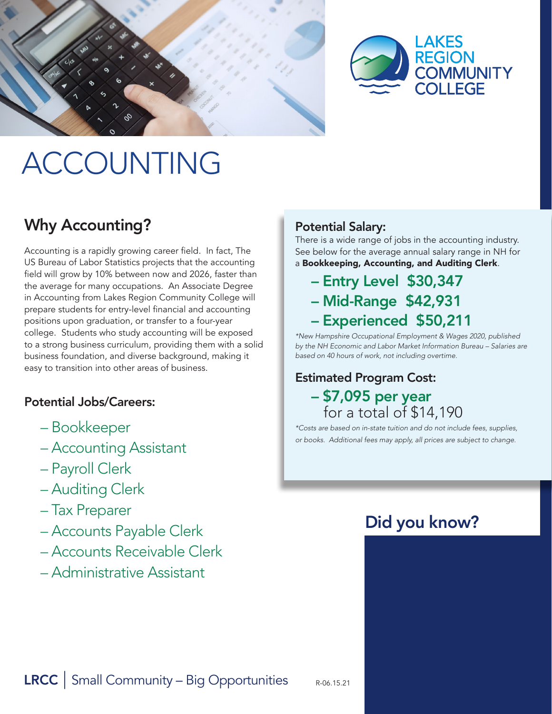



# ACCOUNTING

# Why Accounting?

Accounting is a rapidly growing career field. In fact, The US Bureau of Labor Statistics projects that the accounting field will grow by 10% between now and 2026, faster than the average for many occupations. An Associate Degree in Accounting from Lakes Region Community College will prepare students for entry-level financial and accounting positions upon graduation, or transfer to a four-year college. Students who study accounting will be exposed to a strong business curriculum, providing them with a solid business foundation, and diverse background, making it easy to transition into other areas of business.

### Potential Jobs/Careers:

- Bookkeeper
- Accounting Assistant
- Payroll Clerk
- Auditing Clerk
- Tax Preparer
- Accounts Payable Clerk
- Accounts Receivable Clerk
- Administrative Assistant

### Potential Salary:

There is a wide range of jobs in the accounting industry. See below for the average annual salary range in NH for a Bookkeeping, Accounting, and Auditing Clerk.

# – Entry Level \$30,347 – Mid-Range \$42,931 – Experienced \$50,211

*\*New Hampshire Occupational Employment & Wages 2020, published by the NH Economic and Labor Market Information Bureau – Salaries are based on 40 hours of work, not including overtime.*

## Estimated Program Cost: – \$7,095 per year for a total of \$14,190

*\*Costs are based on in-state tuition and do not include fees, supplies, or books. Additional fees may apply, all prices are subject to change.*

# Did you know?